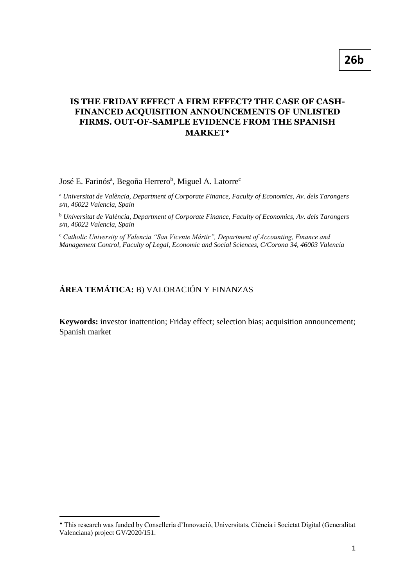## **IS THE FRIDAY EFFECT A FIRM EFFECT? THE CASE OF CASH-FINANCED ACQUISITION ANNOUNCEMENTS OF UNLISTED FIRMS. OUT-OF-SAMPLE EVIDENCE FROM THE SPANISH MARKET**

## José E. Farinós<sup>a</sup>, Begoña Herrero<sup>b</sup>, Miguel A. Latorre<sup>c</sup>

<sup>a</sup> *Universitat de València, Department of Corporate Finance, Faculty of Economics, Av. dels Tarongers s/n, 46022 Valencia, Spain* 

<sup>b</sup> *Universitat de València, Department of Corporate Finance, Faculty of Economics, Av. dels Tarongers s/n, 46022 Valencia, Spain* 

<sup>c</sup> *Catholic University of Valencia "San Vicente Mártir", Department of Accounting, Finance and Management Control, Faculty of Legal, Economic and Social Sciences, C/Corona 34, 46003 Valencia*

# **ÁREA TEMÁTICA:** B) VALORACIÓN Y FINANZAS

1

**Keywords:** investor inattention; Friday effect; selection bias; acquisition announcement; Spanish market

This research was funded by Conselleria d'Innovació, Universitats, Ciència i Societat Digital (Generalitat Valenciana) project GV/2020/151.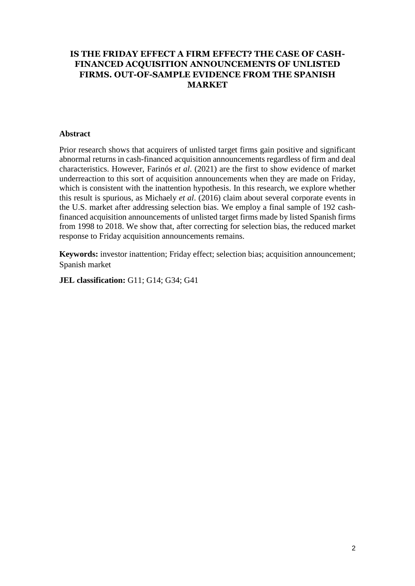## **IS THE FRIDAY EFFECT A FIRM EFFECT? THE CASE OF CASH-FINANCED ACQUISITION ANNOUNCEMENTS OF UNLISTED FIRMS. OUT-OF-SAMPLE EVIDENCE FROM THE SPANISH MARKET**

## **Abstract**

Prior research shows that acquirers of unlisted target firms gain positive and significant abnormal returns in cash-financed acquisition announcements regardless of firm and deal characteristics. However, Farinós *et al*. (2021) are the first to show evidence of market underreaction to this sort of acquisition announcements when they are made on Friday, which is consistent with the inattention hypothesis. In this research, we explore whether this result is spurious, as Michaely *et al*. (2016) claim about several corporate events in the U.S. market after addressing selection bias. We employ a final sample of 192 cashfinanced acquisition announcements of unlisted target firms made by listed Spanish firms from 1998 to 2018. We show that, after correcting for selection bias, the reduced market response to Friday acquisition announcements remains.

**Keywords:** investor inattention; Friday effect; selection bias; acquisition announcement; Spanish market

**JEL classification:** G11; G14; G34; G41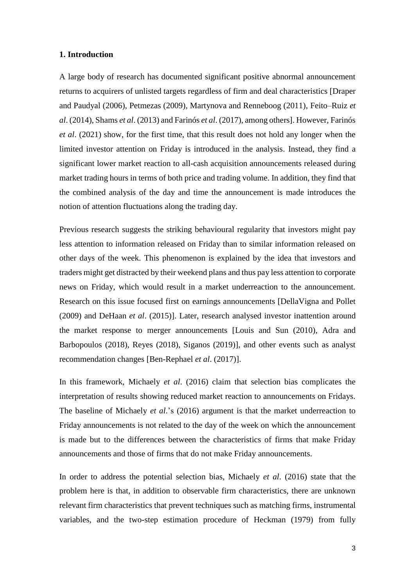#### **1. Introduction**

A large body of research has documented significant positive abnormal announcement returns to acquirers of unlisted targets regardless of firm and deal characteristics [Draper and Paudyal (2006), Petmezas (2009), Martynova and Renneboog (2011), Feito–Ruiz *et al*. (2014), Shams *et al*. (2013) and Farinós *et al*. (2017), among others]. However, Farinós *et al*. (2021) show, for the first time, that this result does not hold any longer when the limited investor attention on Friday is introduced in the analysis. Instead, they find a significant lower market reaction to all-cash acquisition announcements released during market trading hours in terms of both price and trading volume. In addition, they find that the combined analysis of the day and time the announcement is made introduces the notion of attention fluctuations along the trading day.

Previous research suggests the striking behavioural regularity that investors might pay less attention to information released on Friday than to similar information released on other days of the week. This phenomenon is explained by the idea that investors and traders might get distracted by their weekend plans and thus pay less attention to corporate news on Friday, which would result in a market underreaction to the announcement. Research on this issue focused first on earnings announcements [DellaVigna and Pollet (2009) and DeHaan *et al*. (2015)]. Later, research analysed investor inattention around the market response to merger announcements [Louis and Sun (2010), Adra and Barbopoulos (2018), Reyes (2018), Siganos (2019)], and other events such as analyst recommendation changes [Ben-Rephael *et al*. (2017)].

In this framework, Michaely *et al*. (2016) claim that selection bias complicates the interpretation of results showing reduced market reaction to announcements on Fridays. The baseline of Michaely *et al*.'s (2016) argument is that the market underreaction to Friday announcements is not related to the day of the week on which the announcement is made but to the differences between the characteristics of firms that make Friday announcements and those of firms that do not make Friday announcements.

In order to address the potential selection bias, Michaely *et al*. (2016) state that the problem here is that, in addition to observable firm characteristics, there are unknown relevant firm characteristics that prevent techniques such as matching firms, instrumental variables, and the two-step estimation procedure of Heckman (1979) from fully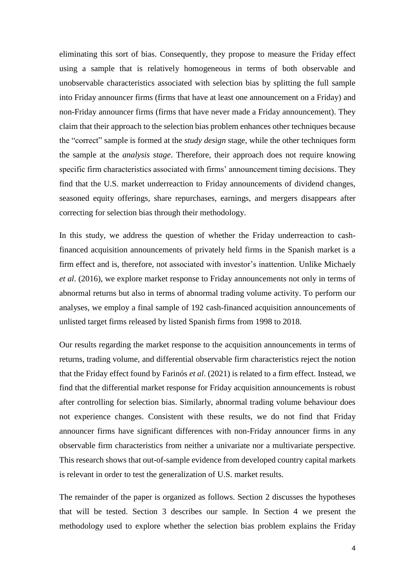eliminating this sort of bias. Consequently, they propose to measure the Friday effect using a sample that is relatively homogeneous in terms of both observable and unobservable characteristics associated with selection bias by splitting the full sample into Friday announcer firms (firms that have at least one announcement on a Friday) and non-Friday announcer firms (firms that have never made a Friday announcement). They claim that their approach to the selection bias problem enhances other techniques because the "correct" sample is formed at the *study design* stage, while the other techniques form the sample at the *analysis stage*. Therefore, their approach does not require knowing specific firm characteristics associated with firms' announcement timing decisions. They find that the U.S. market underreaction to Friday announcements of dividend changes, seasoned equity offerings, share repurchases, earnings, and mergers disappears after correcting for selection bias through their methodology.

In this study, we address the question of whether the Friday underreaction to cashfinanced acquisition announcements of privately held firms in the Spanish market is a firm effect and is, therefore, not associated with investor's inattention. Unlike Michaely *et al*. (2016), we explore market response to Friday announcements not only in terms of abnormal returns but also in terms of abnormal trading volume activity. To perform our analyses, we employ a final sample of 192 cash-financed acquisition announcements of unlisted target firms released by listed Spanish firms from 1998 to 2018.

Our results regarding the market response to the acquisition announcements in terms of returns, trading volume, and differential observable firm characteristics reject the notion that the Friday effect found by Farinós *et al*. (2021) is related to a firm effect. Instead, we find that the differential market response for Friday acquisition announcements is robust after controlling for selection bias. Similarly, abnormal trading volume behaviour does not experience changes. Consistent with these results, we do not find that Friday announcer firms have significant differences with non-Friday announcer firms in any observable firm characteristics from neither a univariate nor a multivariate perspective. This research shows that out-of-sample evidence from developed country capital markets is relevant in order to test the generalization of U.S. market results.

The remainder of the paper is organized as follows. Section 2 discusses the hypotheses that will be tested. Section 3 describes our sample. In Section 4 we present the methodology used to explore whether the selection bias problem explains the Friday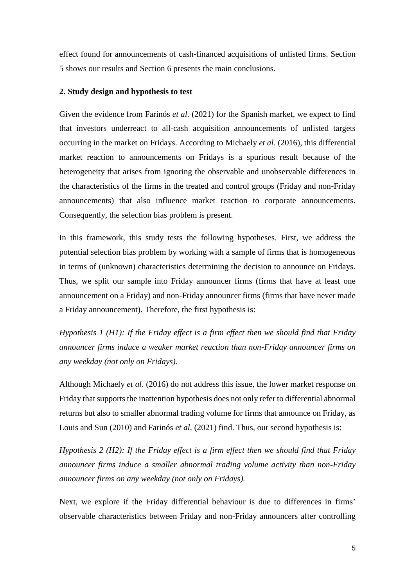effect found for announcements of cash-financed acquisitions of unlisted firms. Section 5 shows our results and Section 6 presents the main conclusions.

## **2. Study design and hypothesis to test**

Given the evidence from Farinós *et al*. (2021) for the Spanish market, we expect to find that investors underreact to all-cash acquisition announcements of unlisted targets occurring in the market on Fridays. According to Michaely *et al*. (2016), this differential market reaction to announcements on Fridays is a spurious result because of the heterogeneity that arises from ignoring the observable and unobservable differences in the characteristics of the firms in the treated and control groups (Friday and non-Friday announcements) that also influence market reaction to corporate announcements. Consequently, the selection bias problem is present.

In this framework, this study tests the following hypotheses. First, we address the potential selection bias problem by working with a sample of firms that is homogeneous in terms of (unknown) characteristics determining the decision to announce on Fridays. Thus, we split our sample into Friday announcer firms (firms that have at least one announcement on a Friday) and non-Friday announcer firms (firms that have never made a Friday announcement). Therefore, the first hypothesis is:

*Hypothesis 1 (H1): If the Friday effect is a firm effect then we should find that Friday announcer firms induce a weaker market reaction than non-Friday announcer firms on any weekday (not only on Fridays).*

Although Michaely *et al*. (2016) do not address this issue, the lower market response on Friday that supports the inattention hypothesis does not only refer to differential abnormal returns but also to smaller abnormal trading volume for firms that announce on Friday, as Louis and Sun (2010) and Farinós *et al*. (2021) find. Thus, our second hypothesis is:

*Hypothesis 2 (H2): If the Friday effect is a firm effect then we should find that Friday announcer firms induce a smaller abnormal trading volume activity than non-Friday announcer firms on any weekday (not only on Fridays).*

Next, we explore if the Friday differential behaviour is due to differences in firms' observable characteristics between Friday and non-Friday announcers after controlling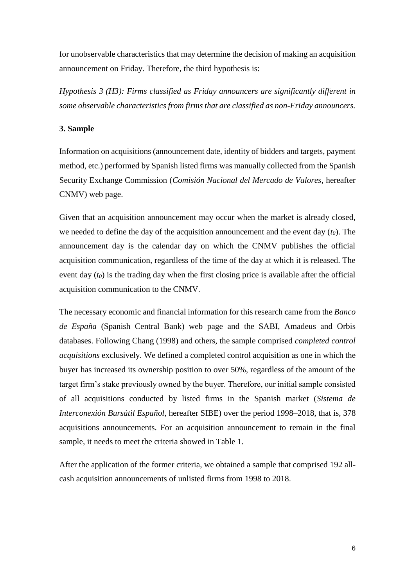for unobservable characteristics that may determine the decision of making an acquisition announcement on Friday. Therefore, the third hypothesis is:

*Hypothesis 3 (H3): Firms classified as Friday announcers are significantly different in some observable characteristics from firms that are classified as non-Friday announcers.*

## **3. Sample**

Information on acquisitions (announcement date, identity of bidders and targets, payment method, etc.) performed by Spanish listed firms was manually collected from the Spanish Security Exchange Commission (*Comisión Nacional del Mercado de Valores*, hereafter CNMV) web page.

Given that an acquisition announcement may occur when the market is already closed, we needed to define the day of the acquisition announcement and the event day (*t0*). The announcement day is the calendar day on which the CNMV publishes the official acquisition communication, regardless of the time of the day at which it is released. The event day (*t0*) is the trading day when the first closing price is available after the official acquisition communication to the CNMV.

The necessary economic and financial information for this research came from the *Banco de España* (Spanish Central Bank) web page and the SABI, Amadeus and Orbis databases. Following Chang (1998) and others, the sample comprised *completed control acquisitions* exclusively. We defined a completed control acquisition as one in which the buyer has increased its ownership position to over 50%, regardless of the amount of the target firm's stake previously owned by the buyer. Therefore, our initial sample consisted of all acquisitions conducted by listed firms in the Spanish market (*Sistema de Interconexión Bursátil Español*, hereafter SIBE) over the period 1998–2018, that is, 378 acquisitions announcements. For an acquisition announcement to remain in the final sample, it needs to meet the criteria showed in Table 1.

After the application of the former criteria, we obtained a sample that comprised 192 allcash acquisition announcements of unlisted firms from 1998 to 2018.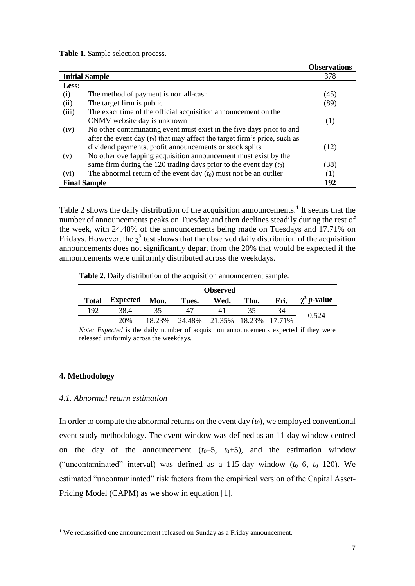**Table 1.** Sample selection process.

|       |                                                                              | <b>Observations</b> |  |  |
|-------|------------------------------------------------------------------------------|---------------------|--|--|
|       | <b>Initial Sample</b>                                                        |                     |  |  |
| Less: |                                                                              |                     |  |  |
| (i)   | The method of payment is non all-cash                                        | (45)                |  |  |
| (ii)  | The target firm is public                                                    | (89)                |  |  |
| (iii) | The exact time of the official acquisition announcement on the               |                     |  |  |
|       | CNMV website day is unknown                                                  | (1)                 |  |  |
| (iv)  | No other contaminating event must exist in the five days prior to and        |                     |  |  |
|       | after the event day $(t_0)$ that may affect the target firm's price, such as |                     |  |  |
|       | dividend payments, profit announcements or stock splits                      | (12)                |  |  |
| (v)   | No other overlapping acquisition announcement must exist by the              |                     |  |  |
|       | same firm during the 120 trading days prior to the event day $(t_0)$         | (38)                |  |  |
| (vi)  | The abnormal return of the event day $(t_0)$ must not be an outlier          | (1)                 |  |  |
|       | <b>Final Sample</b>                                                          | 192                 |  |  |

Table 2 shows the daily distribution of the acquisition announcements.<sup>1</sup> It seems that the number of announcements peaks on Tuesday and then declines steadily during the rest of the week, with 24.48% of the announcements being made on Tuesdays and 17.71% on Fridays. However, the  $\chi^2$  test shows that the observed daily distribution of the acquisition announcements does not significantly depart from the 20% that would be expected if the announcements were uniformly distributed across the weekdays.

**Table 2.** Daily distribution of the acquisition announcement sample.

| <b>Total</b> | Expected | Mon.   | Tues.                       | Wed. | Thu. | Fri. | $\chi^2 p$ -value |
|--------------|----------|--------|-----------------------------|------|------|------|-------------------|
| 192          | 38.4     | 35     |                             | 41   | 35   | 34   | 0.524             |
|              | 20%      | 18.23% | 24.48% 21.35% 18.23% 17.71% |      |      |      |                   |

*Note: Expected* is the daily number of acquisition announcements expected if they were released uniformly across the weekdays.

## **4. Methodology**

**.** 

#### *4.1. Abnormal return estimation*

In order to compute the abnormal returns on the event day (*t0*), we employed conventional event study methodology. The event window was defined as an 11-day window centred on the day of the announcement  $(t_0-5, t_0+5)$ , and the estimation window ("uncontaminated" interval) was defined as a 115-day window  $(t_0-6, t_0-120)$ . We estimated "uncontaminated" risk factors from the empirical version of the Capital Asset-Pricing Model (CAPM) as we show in equation [1].

<sup>&</sup>lt;sup>1</sup> We reclassified one announcement released on Sunday as a Friday announcement.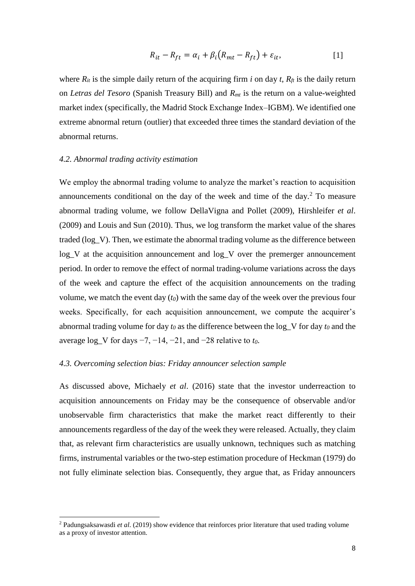$$
R_{it} - R_{ft} = \alpha_i + \beta_i (R_{mt} - R_{ft}) + \varepsilon_{it},
$$
\n[1]

where  $R_{it}$  is the simple daily return of the acquiring firm *i* on day *t*,  $R_f$  is the daily return on *Letras del Tesoro* (Spanish Treasury Bill) and *Rmt* is the return on a value-weighted market index (specifically, the Madrid Stock Exchange Index–IGBM). We identified one extreme abnormal return (outlier) that exceeded three times the standard deviation of the abnormal returns.

#### *4.2. Abnormal trading activity estimation*

1

We employ the abnormal trading volume to analyze the market's reaction to acquisition announcements conditional on the day of the week and time of the day. $<sup>2</sup>$  To measure</sup> abnormal trading volume, we follow DellaVigna and Pollet (2009), Hirshleifer *et al*. (2009) and Louis and Sun (2010). Thus, we log transform the market value of the shares traded (log\_V). Then, we estimate the abnormal trading volume as the difference between log V at the acquisition announcement and log\_V over the premerger announcement period. In order to remove the effect of normal trading-volume variations across the days of the week and capture the effect of the acquisition announcements on the trading volume, we match the event day (*t0*) with the same day of the week over the previous four weeks. Specifically, for each acquisition announcement, we compute the acquirer's abnormal trading volume for day *t<sup>0</sup>* as the difference between the log\_V for day *t<sup>0</sup>* and the average log\_V for days −7, −14, −21, and −28 relative to *t0*.

#### *4.3. Overcoming selection bias: Friday announcer selection sample*

As discussed above, Michaely *et al*. (2016) state that the investor underreaction to acquisition announcements on Friday may be the consequence of observable and/or unobservable firm characteristics that make the market react differently to their announcements regardless of the day of the week they were released. Actually, they claim that, as relevant firm characteristics are usually unknown, techniques such as matching firms, instrumental variables or the two-step estimation procedure of Heckman (1979) do not fully eliminate selection bias. Consequently, they argue that, as Friday announcers

<sup>2</sup> Padungsaksawasdi *et al*. (2019) show evidence that reinforces prior literature that used trading volume as a proxy of investor attention.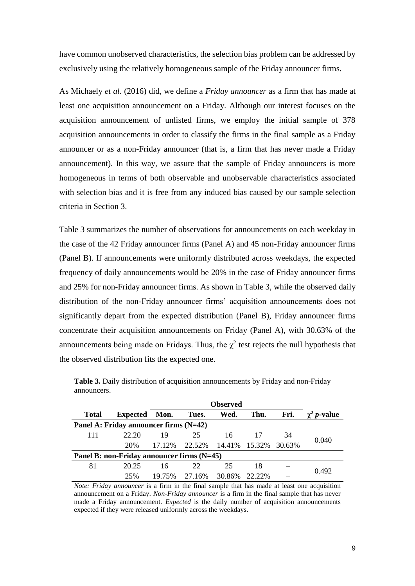have common unobserved characteristics, the selection bias problem can be addressed by exclusively using the relatively homogeneous sample of the Friday announcer firms.

As Michaely *et al*. (2016) did, we define a *Friday announcer* as a firm that has made at least one acquisition announcement on a Friday. Although our interest focuses on the acquisition announcement of unlisted firms, we employ the initial sample of 378 acquisition announcements in order to classify the firms in the final sample as a Friday announcer or as a non-Friday announcer (that is, a firm that has never made a Friday announcement). In this way, we assure that the sample of Friday announcers is more homogeneous in terms of both observable and unobservable characteristics associated with selection bias and it is free from any induced bias caused by our sample selection criteria in Section 3.

Table 3 summarizes the number of observations for announcements on each weekday in the case of the 42 Friday announcer firms (Panel A) and 45 non-Friday announcer firms (Panel B). If announcements were uniformly distributed across weekdays, the expected frequency of daily announcements would be 20% in the case of Friday announcer firms and 25% for non-Friday announcer firms. As shown in Table 3, while the observed daily distribution of the non-Friday announcer firms' acquisition announcements does not significantly depart from the expected distribution (Panel B), Friday announcer firms concentrate their acquisition announcements on Friday (Panel A), with 30.63% of the announcements being made on Fridays. Thus, the  $\chi^2$  test rejects the null hypothesis that the observed distribution fits the expected one.

|                                            |                 | <b>Observed</b> |        |               |        |        |                            |
|--------------------------------------------|-----------------|-----------------|--------|---------------|--------|--------|----------------------------|
| <b>Total</b>                               | <b>Expected</b> | Mon.            | Tues.  | Wed.          | Thu.   | Fri.   | $\gamma^2$ <i>p</i> -value |
| Panel A: Friday announcer firms (N=42)     |                 |                 |        |               |        |        |                            |
| 111                                        | 22.20           | 19              | 25     | 16            |        | 34     | 0.040                      |
|                                            | 20%             | 17.12%          | 22.52% | 14.41% 15.32% |        | 30.63% |                            |
| Panel B: non-Friday announcer firms (N=45) |                 |                 |        |               |        |        |                            |
| 81                                         | 20.25           | 16              | 22     | 25            | 18     |        |                            |
|                                            | 25%             | 19.75%          | 27.16% | 30.86%        | 22.22% |        | 0.492                      |

**Table 3.** Daily distribution of acquisition announcements by Friday and non-Friday announcers.

*Note: Friday announcer* is a firm in the final sample that has made at least one acquisition announcement on a Friday. *Non-Friday announcer* is a firm in the final sample that has never made a Friday announcement. *Expected* is the daily number of acquisition announcements expected if they were released uniformly across the weekdays.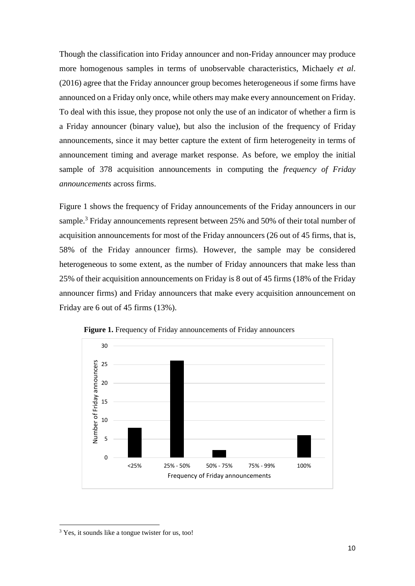Though the classification into Friday announcer and non-Friday announcer may produce more homogenous samples in terms of unobservable characteristics, Michaely *et al*. (2016) agree that the Friday announcer group becomes heterogeneous if some firms have announced on a Friday only once, while others may make every announcement on Friday. To deal with this issue, they propose not only the use of an indicator of whether a firm is a Friday announcer (binary value), but also the inclusion of the frequency of Friday announcements, since it may better capture the extent of firm heterogeneity in terms of announcement timing and average market response. As before, we employ the initial sample of 378 acquisition announcements in computing the *frequency of Friday announcements* across firms.

Figure 1 shows the frequency of Friday announcements of the Friday announcers in our sample.<sup>3</sup> Friday announcements represent between 25% and 50% of their total number of acquisition announcements for most of the Friday announcers (26 out of 45 firms, that is, 58% of the Friday announcer firms). However, the sample may be considered heterogeneous to some extent, as the number of Friday announcers that make less than 25% of their acquisition announcements on Friday is 8 out of 45 firms (18% of the Friday announcer firms) and Friday announcers that make every acquisition announcement on Friday are 6 out of 45 firms (13%).



**Figure 1.** Frequency of Friday announcements of Friday announcers

**.** 

<sup>&</sup>lt;sup>3</sup> Yes, it sounds like a tongue twister for us, too!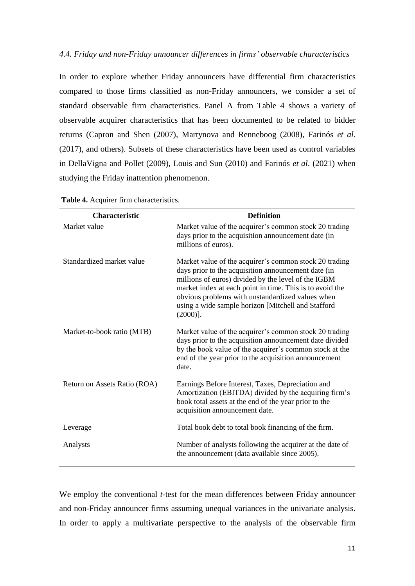#### *4.4. Friday and non-Friday announcer differences in firms' observable characteristics*

In order to explore whether Friday announcers have differential firm characteristics compared to those firms classified as non-Friday announcers, we consider a set of standard observable firm characteristics. Panel A from Table 4 shows a variety of observable acquirer characteristics that has been documented to be related to bidder returns (Capron and Shen (2007), Martynova and Renneboog (2008), Farinós *et al*. (2017), and others). Subsets of these characteristics have been used as control variables in DellaVigna and Pollet (2009), Louis and Sun (2010) and Farinós *et al*. (2021) when studying the Friday inattention phenomenon.

| <b>Characteristic</b>        | <b>Definition</b>                                                                                                                                                                                                                                                                                                                                         |
|------------------------------|-----------------------------------------------------------------------------------------------------------------------------------------------------------------------------------------------------------------------------------------------------------------------------------------------------------------------------------------------------------|
| Market value                 | Market value of the acquirer's common stock 20 trading<br>days prior to the acquisition announcement date (in<br>millions of euros).                                                                                                                                                                                                                      |
| Standardized market value    | Market value of the acquirer's common stock 20 trading<br>days prior to the acquisition announcement date (in<br>millions of euros) divided by the level of the IGBM<br>market index at each point in time. This is to avoid the<br>obvious problems with unstandardized values when<br>using a wide sample horizon [Mitchell and Stafford<br>$(2000)$ ]. |
| Market-to-book ratio (MTB)   | Market value of the acquirer's common stock 20 trading<br>days prior to the acquisition announcement date divided<br>by the book value of the acquirer's common stock at the<br>end of the year prior to the acquisition announcement<br>date.                                                                                                            |
| Return on Assets Ratio (ROA) | Earnings Before Interest, Taxes, Depreciation and<br>Amortization (EBITDA) divided by the acquiring firm's<br>book total assets at the end of the year prior to the<br>acquisition announcement date.                                                                                                                                                     |
| Leverage                     | Total book debt to total book financing of the firm.                                                                                                                                                                                                                                                                                                      |
| Analysts                     | Number of analysts following the acquirer at the date of<br>the announcement (data available since 2005).                                                                                                                                                                                                                                                 |

**Table 4.** Acquirer firm characteristics.

We employ the conventional *t*-test for the mean differences between Friday announcer and non-Friday announcer firms assuming unequal variances in the univariate analysis. In order to apply a multivariate perspective to the analysis of the observable firm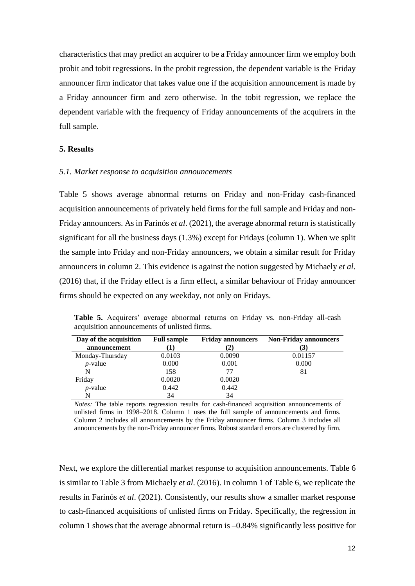characteristics that may predict an acquirer to be a Friday announcer firm we employ both probit and tobit regressions. In the probit regression, the dependent variable is the Friday announcer firm indicator that takes value one if the acquisition announcement is made by a Friday announcer firm and zero otherwise. In the tobit regression, we replace the dependent variable with the frequency of Friday announcements of the acquirers in the full sample.

## **5. Results**

#### *5.1. Market response to acquisition announcements*

Table 5 shows average abnormal returns on Friday and non-Friday cash-financed acquisition announcements of privately held firms for the full sample and Friday and non-Friday announcers. As in Farinós *et al*. (2021), the average abnormal return is statistically significant for all the business days (1.3%) except for Fridays (column 1). When we split the sample into Friday and non-Friday announcers, we obtain a similar result for Friday announcers in column 2. This evidence is against the notion suggested by Michaely *et al*. (2016) that, if the Friday effect is a firm effect, a similar behaviour of Friday announcer firms should be expected on any weekday, not only on Fridays.

**Table 5.** Acquirers' average abnormal returns on Friday vs. non-Friday all-cash acquisition announcements of unlisted firms.

| Day of the acquisition | <b>Full sample</b> | <b>Friday announcers</b> | <b>Non-Friday announcers</b> |
|------------------------|--------------------|--------------------------|------------------------------|
| announcement           |                    |                          | (3)                          |
| Monday-Thursday        | 0.0103             | 0.0090                   | 0.01157                      |
| $p$ -value             | 0.000              | 0.001                    | 0.000                        |
| N                      | 158                | 77                       | 81                           |
| Friday                 | 0.0020             | 0.0020                   |                              |
| $p$ -value             | 0.442              | 0.442                    |                              |
| N                      | 34                 | 34                       |                              |

*Notes:* The table reports regression results for cash-financed acquisition announcements of unlisted firms in 1998–2018. Column 1 uses the full sample of announcements and firms. Column 2 includes all announcements by the Friday announcer firms. Column 3 includes all announcements by the non-Friday announcer firms. Robust standard errors are clustered by firm.

Next, we explore the differential market response to acquisition announcements. Table 6 is similar to Table 3 from Michaely *et al*. (2016). In column 1 of Table 6, we replicate the results in Farinós *et al*. (2021). Consistently, our results show a smaller market response to cash-financed acquisitions of unlisted firms on Friday. Specifically, the regression in column 1 shows that the average abnormal return is –0.84% significantly less positive for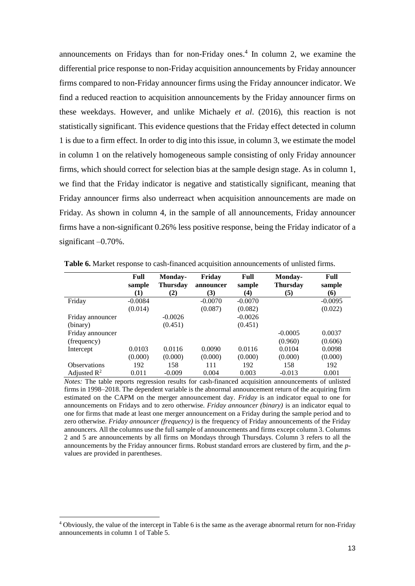announcements on Fridays than for non-Friday ones. 4 In column 2, we examine the differential price response to non-Friday acquisition announcements by Friday announcer firms compared to non-Friday announcer firms using the Friday announcer indicator. We find a reduced reaction to acquisition announcements by the Friday announcer firms on these weekdays. However, and unlike Michaely *et al*. (2016), this reaction is not statistically significant. This evidence questions that the Friday effect detected in column 1 is due to a firm effect. In order to dig into this issue, in column 3, we estimate the model in column 1 on the relatively homogeneous sample consisting of only Friday announcer firms, which should correct for selection bias at the sample design stage. As in column 1, we find that the Friday indicator is negative and statistically significant, meaning that Friday announcer firms also underreact when acquisition announcements are made on Friday. As shown in column 4, in the sample of all announcements, Friday announcer firms have a non-significant 0.26% less positive response, being the Friday indicator of a significant –0.70%.

|                         | Full<br>sample | Monday-<br><b>Thursday</b> | Friday<br>announcer | Full<br>sample | Monday-<br><b>Thursday</b> | <b>Full</b><br>sample |
|-------------------------|----------------|----------------------------|---------------------|----------------|----------------------------|-----------------------|
|                         | (1)            | (2)                        | (3)                 | (4)            | (5)                        | (6)                   |
| Friday                  | $-0.0084$      |                            | $-0.0070$           | $-0.0070$      |                            | $-0.0095$             |
|                         | (0.014)        |                            | (0.087)             | (0.082)        |                            | (0.022)               |
| Friday announcer        |                | $-0.0026$                  |                     | $-0.0026$      |                            |                       |
| (binary)                |                | (0.451)                    |                     | (0.451)        |                            |                       |
| Friday announcer        |                |                            |                     |                | $-0.0005$                  | 0.0037                |
| (frequency)             |                |                            |                     |                | (0.960)                    | (0.606)               |
| Intercept               | 0.0103         | 0.0116                     | 0.0090              | 0.0116         | 0.0104                     | 0.0098                |
|                         | (0.000)        | (0.000)                    | (0.000)             | (0.000)        | (0.000)                    | (0.000)               |
| <b>Observations</b>     | 192            | 158                        | 111                 | 192            | 158                        | 192                   |
| Adjusted $\mathbb{R}^2$ | 0.011          | $-0.009$                   | 0.004               | 0.003          | $-0.013$                   | 0.001                 |

**Table 6.** Market response to cash-financed acquisition announcements of unlisted firms.

*Notes:* The table reports regression results for cash-financed acquisition announcements of unlisted firms in 1998–2018. The dependent variable is the abnormal announcement return of the acquiring firm estimated on the CAPM on the merger announcement day. *Friday* is an indicator equal to one for announcements on Fridays and to zero otherwise. *Friday announcer (binary)* is an indicator equal to one for firms that made at least one merger announcement on a Friday during the sample period and to zero otherwise. *Friday announcer (frequency)* is the frequency of Friday announcements of the Friday announcers. All the columns use the full sample of announcements and firms except column 3. Columns 2 and 5 are announcements by all firms on Mondays through Thursdays. Column 3 refers to all the announcements by the Friday announcer firms. Robust standard errors are clustered by firm, and the *p*values are provided in parentheses.

1

<sup>4</sup> Obviously, the value of the intercept in Table 6 is the same as the average abnormal return for non-Friday announcements in column 1 of Table 5.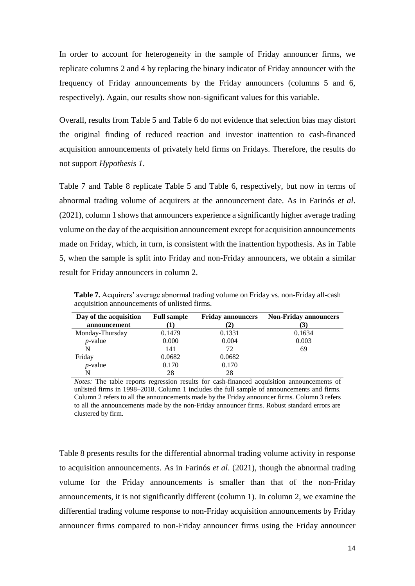In order to account for heterogeneity in the sample of Friday announcer firms, we replicate columns 2 and 4 by replacing the binary indicator of Friday announcer with the frequency of Friday announcements by the Friday announcers (columns 5 and 6, respectively). Again, our results show non-significant values for this variable.

Overall, results from Table 5 and Table 6 do not evidence that selection bias may distort the original finding of reduced reaction and investor inattention to cash-financed acquisition announcements of privately held firms on Fridays. Therefore, the results do not support *Hypothesis 1*.

Table 7 and Table 8 replicate Table 5 and Table 6, respectively, but now in terms of abnormal trading volume of acquirers at the announcement date. As in Farinós *et al*. (2021), column 1 shows that announcers experience a significantly higher average trading volume on the day of the acquisition announcement except for acquisition announcements made on Friday, which, in turn, is consistent with the inattention hypothesis. As in Table 5, when the sample is split into Friday and non-Friday announcers, we obtain a similar result for Friday announcers in column 2.

| Day of the acquisition | <b>Full sample</b> | <b>Friday announcers</b> | <b>Non-Friday announcers</b> |
|------------------------|--------------------|--------------------------|------------------------------|
| announcement           |                    | $\mathbf{2}$             | (3)                          |
| Monday-Thursday        | 0.1479             | 0.1331                   | 0.1634                       |
| $p$ -value             | 0.000              | 0.004                    | 0.003                        |
| N                      | 141                | 72                       | 69                           |
| Friday                 | 0.0682             | 0.0682                   |                              |
| $p$ -value             | 0.170              | 0.170                    |                              |
| N                      | 28                 | 28                       |                              |

**Table 7.** Acquirers' average abnormal trading volume on Friday vs. non-Friday all-cash acquisition announcements of unlisted firms.

*Notes:* The table reports regression results for cash-financed acquisition announcements of unlisted firms in 1998–2018. Column 1 includes the full sample of announcements and firms. Column 2 refers to all the announcements made by the Friday announcer firms. Column 3 refers to all the announcements made by the non-Friday announcer firms. Robust standard errors are clustered by firm.

Table 8 presents results for the differential abnormal trading volume activity in response to acquisition announcements. As in Farinós *et al*. (2021), though the abnormal trading volume for the Friday announcements is smaller than that of the non-Friday announcements, it is not significantly different (column 1). In column 2, we examine the differential trading volume response to non-Friday acquisition announcements by Friday announcer firms compared to non-Friday announcer firms using the Friday announcer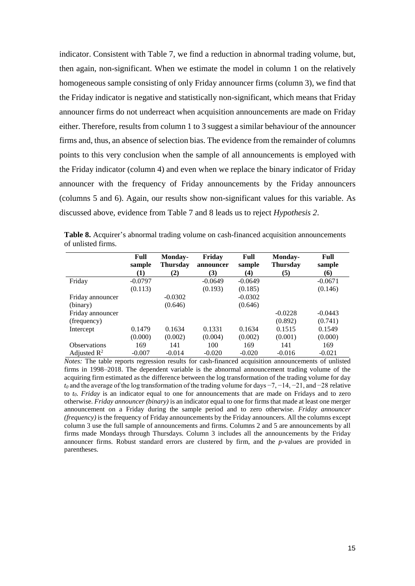indicator. Consistent with Table 7, we find a reduction in abnormal trading volume, but, then again, non-significant. When we estimate the model in column 1 on the relatively homogeneous sample consisting of only Friday announcer firms (column 3), we find that the Friday indicator is negative and statistically non-significant, which means that Friday announcer firms do not underreact when acquisition announcements are made on Friday either. Therefore, results from column 1 to 3 suggest a similar behaviour of the announcer firms and, thus, an absence of selection bias. The evidence from the remainder of columns points to this very conclusion when the sample of all announcements is employed with the Friday indicator (column 4) and even when we replace the binary indicator of Friday announcer with the frequency of Friday announcements by the Friday announcers (columns 5 and 6). Again, our results show non-significant values for this variable. As discussed above, evidence from Table 7 and 8 leads us to reject *Hypothesis 2*.

|                         | Full<br>sample<br>(1) | Monday-<br><b>Thursday</b><br>(2) | Friday<br>announcer<br>(3) | Full<br>sample<br>(4) | Monday-<br><b>Thursday</b><br>(5) | Full<br>sample<br>66) |
|-------------------------|-----------------------|-----------------------------------|----------------------------|-----------------------|-----------------------------------|-----------------------|
| Friday                  | $-0.0797$             |                                   | $-0.0649$                  | $-0.0649$             |                                   | $-0.0671$             |
|                         | (0.113)               |                                   | (0.193)                    | (0.185)               |                                   | (0.146)               |
| Friday announcer        |                       | $-0.0302$                         |                            | $-0.0302$             |                                   |                       |
| (binary)                |                       | (0.646)                           |                            | (0.646)               |                                   |                       |
| Friday announcer        |                       |                                   |                            |                       | $-0.0228$                         | $-0.0443$             |
| (frequency)             |                       |                                   |                            |                       | (0.892)                           | (0.741)               |
| Intercept               | 0.1479                | 0.1634                            | 0.1331                     | 0.1634                | 0.1515                            | 0.1549                |
|                         | (0.000)               | (0.002)                           | (0.004)                    | (0.002)               | (0.001)                           | (0.000)               |
| <b>Observations</b>     | 169                   | 141                               | 100                        | 169                   | 141                               | 169                   |
| Adjusted $\mathbb{R}^2$ | $-0.007$              | $-0.014$                          | $-0.020$                   | $-0.020$              | $-0.016$                          | $-0.021$              |

**Table 8.** Acquirer's abnormal trading volume on cash-financed acquisition announcements of unlisted firms.

*Notes:* The table reports regression results for cash-financed acquisition announcements of unlisted firms in 1998–2018. The dependent variable is the abnormal announcement trading volume of the acquiring firm estimated as the difference between the log transformation of the trading volume for day *t*<sub>0</sub> and the average of the log transformation of the trading volume for days  $-7$ ,  $-14$ ,  $-21$ , and  $-28$  relative to *t0*. *Friday* is an indicator equal to one for announcements that are made on Fridays and to zero otherwise. *Friday announcer (binary)* is an indicator equal to one for firms that made at least one merger announcement on a Friday during the sample period and to zero otherwise. *Friday announcer (frequency)* is the frequency of Friday announcements by the Friday announcers. All the columns except column 3 use the full sample of announcements and firms. Columns 2 and 5 are announcements by all firms made Mondays through Thursdays. Column 3 includes all the announcements by the Friday announcer firms. Robust standard errors are clustered by firm, and the *p*-values are provided in parentheses.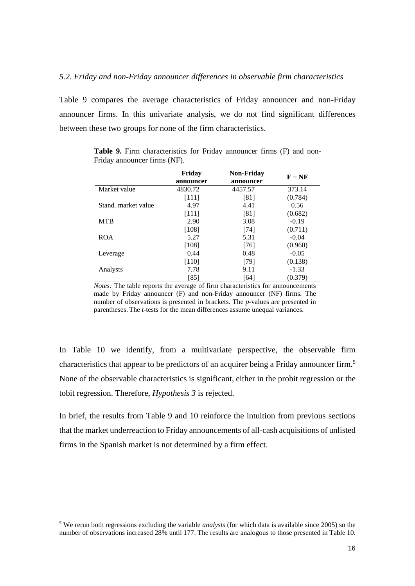#### *5.2. Friday and non-Friday announcer differences in observable firm characteristics*

Table 9 compares the average characteristics of Friday announcer and non-Friday announcer firms. In this univariate analysis, we do not find significant differences between these two groups for none of the firm characteristics.

|                     | Friday<br>announcer | <b>Non-Friday</b><br>announcer | $F - NF$ |
|---------------------|---------------------|--------------------------------|----------|
| Market value        | 4830.72             | 4457.57                        | 373.14   |
|                     | [111]               | [81]                           | (0.784)  |
| Stand, market value | 4.97                | 4.41                           | 0.56     |
|                     | [111]               | [81]                           | (0.682)  |
| <b>MTB</b>          | 2.90                | 3.08                           | $-0.19$  |
|                     | $[108]$             | [74]                           | (0.711)  |
| <b>ROA</b>          | 5.27                | 5.31                           | $-0.04$  |
|                     | [108]               | [76]                           | (0.960)  |
| Leverage            | 0.44                | 0.48                           | $-0.05$  |
|                     | $[110]$             | [79]                           | (0.138)  |
| Analysts            | 7.78                | 9.11                           | $-1.33$  |
|                     | [85]                | [64]                           | (0.379)  |

**Table 9.** Firm characteristics for Friday announcer firms (F) and non-Friday announcer firms (NF).

*Notes:* The table reports the average of firm characteristics for announcements made by Friday announcer (F) and non-Friday announcer (NF) firms. The number of observations is presented in brackets. The *p*-values are presented in parentheses. The *t*-tests for the mean differences assume unequal variances.

In Table 10 we identify, from a multivariate perspective, the observable firm characteristics that appear to be predictors of an acquirer being a Friday announcer firm.<sup>5</sup> None of the observable characteristics is significant, either in the probit regression or the tobit regression. Therefore, *Hypothesis 3* is rejected.

In brief, the results from Table 9 and 10 reinforce the intuition from previous sections that the market underreaction to Friday announcements of all-cash acquisitions of unlisted firms in the Spanish market is not determined by a firm effect.

1

<sup>5</sup> We rerun both regressions excluding the variable *analysts* (for which data is available since 2005) so the number of observations increased 28% until 177. The results are analogous to those presented in Table 10.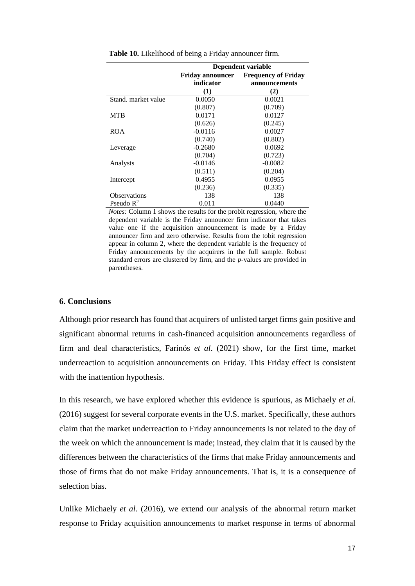|                       | Dependent variable      |                            |  |  |
|-----------------------|-------------------------|----------------------------|--|--|
|                       | <b>Friday announcer</b> | <b>Frequency of Friday</b> |  |  |
|                       | indicator               | announcements              |  |  |
|                       | (1)                     | (2)                        |  |  |
| Stand, market value   | 0.0050                  | 0.0021                     |  |  |
|                       | (0.807)                 | (0.709)                    |  |  |
| <b>MTB</b>            | 0.0171                  | 0.0127                     |  |  |
|                       | (0.626)                 | (0.245)                    |  |  |
| <b>ROA</b>            | $-0.0116$               | 0.0027                     |  |  |
|                       | (0.740)                 | (0.802)                    |  |  |
| Leverage              | $-0.2680$               | 0.0692                     |  |  |
|                       | (0.704)                 | (0.723)                    |  |  |
| Analysts              | $-0.0146$               | $-0.0082$                  |  |  |
|                       | (0.511)                 | (0.204)                    |  |  |
| Intercept             | 0.4955                  | 0.0955                     |  |  |
|                       | (0.236)                 | (0.335)                    |  |  |
| <b>Observations</b>   | 138                     | 138                        |  |  |
| Pseudo $\mathbb{R}^2$ | 0.011                   | 0.0440                     |  |  |

**Table 10.** Likelihood of being a Friday announcer firm.

*Notes:* Column 1 shows the results for the probit regression, where the dependent variable is the Friday announcer firm indicator that takes value one if the acquisition announcement is made by a Friday announcer firm and zero otherwise. Results from the tobit regression appear in column 2, where the dependent variable is the frequency of Friday announcements by the acquirers in the full sample. Robust standard errors are clustered by firm, and the *p*-values are provided in parentheses.

#### **6. Conclusions**

Although prior research has found that acquirers of unlisted target firms gain positive and significant abnormal returns in cash-financed acquisition announcements regardless of firm and deal characteristics, Farinós *et al*. (2021) show, for the first time, market underreaction to acquisition announcements on Friday. This Friday effect is consistent with the inattention hypothesis.

In this research, we have explored whether this evidence is spurious, as Michaely *et al*. (2016) suggest for several corporate events in the U.S. market. Specifically, these authors claim that the market underreaction to Friday announcements is not related to the day of the week on which the announcement is made; instead, they claim that it is caused by the differences between the characteristics of the firms that make Friday announcements and those of firms that do not make Friday announcements. That is, it is a consequence of selection bias.

Unlike Michaely *et al*. (2016), we extend our analysis of the abnormal return market response to Friday acquisition announcements to market response in terms of abnormal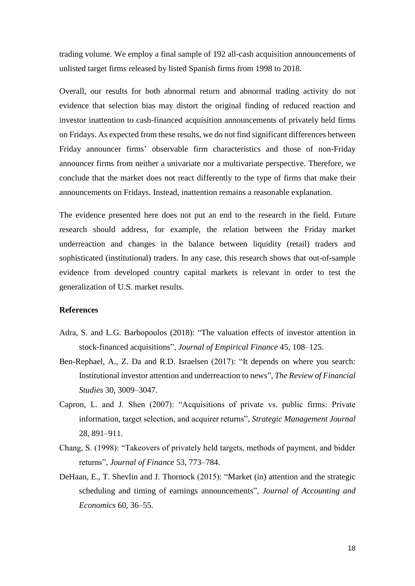trading volume. We employ a final sample of 192 all-cash acquisition announcements of unlisted target firms released by listed Spanish firms from 1998 to 2018.

Overall, our results for both abnormal return and abnormal trading activity do not evidence that selection bias may distort the original finding of reduced reaction and investor inattention to cash-financed acquisition announcements of privately held firms on Fridays. As expected from these results, we do not find significant differences between Friday announcer firms' observable firm characteristics and those of non-Friday announcer firms from neither a univariate nor a multivariate perspective. Therefore, we conclude that the market does not react differently to the type of firms that make their announcements on Fridays. Instead, inattention remains a reasonable explanation.

The evidence presented here does not put an end to the research in the field. Future research should address, for example, the relation between the Friday market underreaction and changes in the balance between liquidity (retail) traders and sophisticated (institutional) traders. In any case, this research shows that out-of-sample evidence from developed country capital markets is relevant in order to test the generalization of U.S. market results.

## **References**

- Adra, S. and L.G. Barbopoulos (2018): "The valuation effects of investor attention in stock-financed acquisitions", *Journal of Empirical Finance* 45, 108–125.
- Ben-Rephael, A., Z. Da and R.D. Israelsen (2017): "It depends on where you search: Institutional investor attention and underreaction to news", *The Review of Financial Studies* 30, 3009–3047.
- Capron, L. and J. Shen (2007): "Acquisitions of private vs. public firms: Private information, target selection, and acquirer returns", *Strategic Management Journal* 28, 891–911.
- Chang, S. (1998): "Takeovers of privately held targets, methods of payment, and bidder returns", *Journal of Finance* 53, 773–784.
- DeHaan, E., T. Shevlin and J. Thornock (2015): "Market (in) attention and the strategic scheduling and timing of earnings announcements", *Journal of Accounting and Economics* 60, 36–55.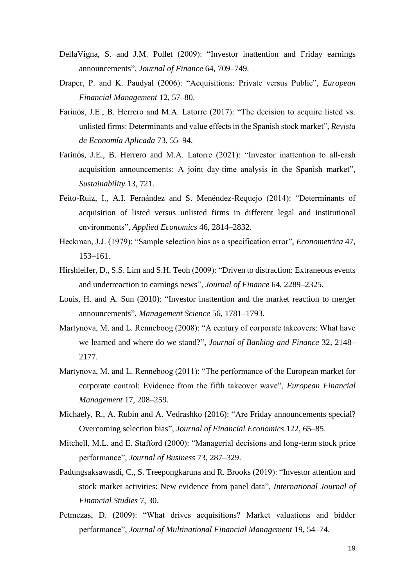- DellaVigna, S. and J.M. Pollet (2009): "Investor inattention and Friday earnings announcements", *Journal of Finance* 64, 709–749.
- Draper, P. and K. Paudyal (2006): "Acquisitions: Private versus Public", *European Financial Management* 12, 57–80.
- Farinós, J.E., B. Herrero and M.A. Latorre (2017): "The decision to acquire listed vs. unlisted firms: Determinants and value effects in the Spanish stock market", *Revista de Economía Aplicada* 73, 55–94.
- Farinós, J.E., B. Herrero and M.A. Latorre (2021): "Investor inattention to all‐cash acquisition announcements: A joint day‐time analysis in the Spanish market", *Sustainability* 13, 721.
- Feito-Ruiz, I., A.I. Fernández and S. Menéndez-Requejo (2014): "Determinants of acquisition of listed versus unlisted firms in different legal and institutional environments", *Applied Economics* 46, 2814–2832.
- Heckman, J.J. (1979): "Sample selection bias as a specification error", *Econometrica* 47, 153–161.
- Hirshleifer, D., S.S. Lim and S.H. Teoh (2009): "Driven to distraction: Extraneous events and underreaction to earnings news", *Journal of Finance* 64, 2289–2325.
- Louis, H. and A. Sun (2010): "Investor inattention and the market reaction to merger announcements", *Management Science* 56, 1781–1793.
- Martynova, M. and L. Renneboog (2008): "A century of corporate takeovers: What have we learned and where do we stand?", *Journal of Banking and Finance* 32, 2148– 2177.
- Martynova, M. and L. Renneboog (2011): "The performance of the European market for corporate control: Evidence from the fifth takeover wave", *European Financial Management* 17, 208–259.
- Michaely, R., A. Rubin and A. Vedrashko (2016): "Are Friday announcements special? Overcoming selection bias", *Journal of Financial Economics* 122, 65–85.
- Mitchell, M.L. and E. Stafford (2000): "Managerial decisions and long-term stock price performance", *Journal of Business* 73, 287–329.
- Padungsaksawasdi, C., S. Treepongkaruna and R. Brooks (2019): "Investor attention and stock market activities: New evidence from panel data", *International Journal of Financial Studies* 7, 30.
- Petmezas, D. (2009): "What drives acquisitions? Market valuations and bidder performance", *Journal of Multinational Financial Management* 19, 54–74.